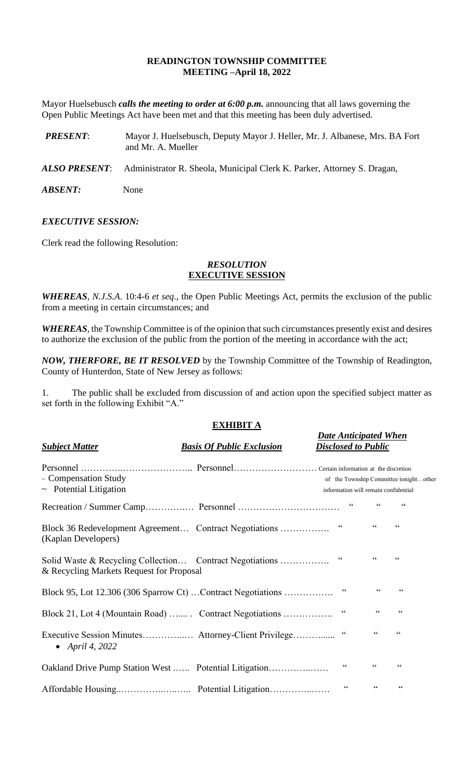## **READINGTON TOWNSHIP COMMITTEE MEETING –April 18, 2022**

Mayor Huelsebusch *calls the meeting to order at 6:00 p.m.* announcing that all laws governing the Open Public Meetings Act have been met and that this meeting has been duly advertised.

- *PRESENT*: Mayor J. Huelsebusch, Deputy Mayor J. Heller, Mr. J. Albanese, Mrs. BA Fort and Mr. A. Mueller
- *ALSO PRESENT*: Administrator R. Sheola, Municipal Clerk K. Parker, Attorney S. Dragan,

*ABSENT:* None

## *EXECUTIVE SESSION:*

Clerk read the following Resolution:

## *RESOLUTION* **EXECUTIVE SESSION**

*WHEREAS*, *N.J.S.A*. 10:4-6 *et seq*., the Open Public Meetings Act, permits the exclusion of the public from a meeting in certain circumstances; and

*WHEREAS,* the Township Committee is of the opinion that such circumstances presently exist and desires to authorize the exclusion of the public from the portion of the meeting in accordance with the act;

*NOW, THERFORE, BE IT RESOLVED* by the Township Committee of the Township of Readington, County of Hunterdon, State of New Jersey as follows:

1. The public shall be excluded from discussion of and action upon the specified subject matter as set forth in the following Exhibit "A."

# **EXHIBIT A**

*Date Anticipated When*

| <b>Subject Matter</b>                                                                                | <b>Basis Of Public Exclusion</b> | <b>Disclosed to Public</b>                                                     |                                             |  |
|------------------------------------------------------------------------------------------------------|----------------------------------|--------------------------------------------------------------------------------|---------------------------------------------|--|
| ~ Compensation Study<br>$\sim$ Potential Litigation                                                  |                                  | of the Township Committee tonightother<br>information will remain confidential |                                             |  |
|                                                                                                      |                                  | $\textsf{G}\,\textsf{G}$                                                       | 66<br>66                                    |  |
| Block 36 Redevelopment Agreement Contract Negotiations<br>(Kaplan Developers)                        |                                  | $\,$ 6 6 $\,$                                                                  | $\zeta$ $\zeta$<br>$\textsf{G}\,\textsf{G}$ |  |
| Solid Waste & Recycling Collection Contract Negotiations<br>& Recycling Markets Request for Proposal |                                  | 66                                                                             | 66                                          |  |
| Block 95, Lot 12.306 (306 Sparrow Ct) Contract Negotiations                                          |                                  | $\textsf{G}\,\textsf{G}$                                                       | 66<br>$\textsf{G}\,\textsf{G}$              |  |
| Block 21, Lot 4 (Mountain Road)  Contract Negotiations                                               |                                  | $\textsf{G}\,\textsf{G}$                                                       | $\mbox{\bf G}$<br>$\textsf{G}\,\textsf{G}$  |  |
| Executive Session Minutes Attorney-Client Privilege<br>• April 4, 2022                               |                                  | $\,$ G G                                                                       | 66<br>66                                    |  |
| Oakland Drive Pump Station West  Potential Litigation                                                |                                  | $\textsf{G}\,\textsf{G}$                                                       | 66<br>$\zeta$ $\zeta$                       |  |
|                                                                                                      |                                  | $\zeta\,\zeta$                                                                 | 66<br>66                                    |  |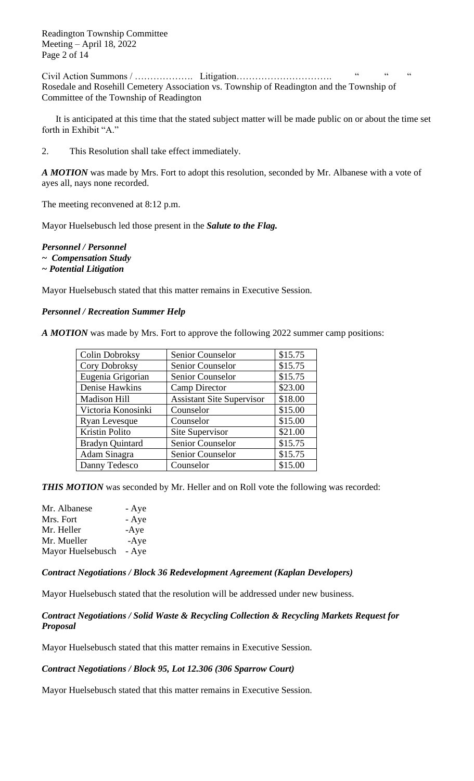Civil Action Summons / ………………. Litigation…………………………. " " " Rosedale and Rosehill Cemetery Association vs. Township of Readington and the Township of Committee of the Township of Readington

It is anticipated at this time that the stated subject matter will be made public on or about the time set forth in Exhibit "A."

2. This Resolution shall take effect immediately.

*A MOTION* was made by Mrs. Fort to adopt this resolution, seconded by Mr. Albanese with a vote of ayes all, nays none recorded.

The meeting reconvened at 8:12 p.m.

Mayor Huelsebusch led those present in the *Salute to the Flag.*

*Personnel / Personnel*

- *~ Compensation Study*
- *~ Potential Litigation*

Mayor Huelsebusch stated that this matter remains in Executive Session.

#### *Personnel / Recreation Summer Help*

*A MOTION* was made by Mrs. Fort to approve the following 2022 summer camp positions:

| <b>Colin Dobroksy</b>  | Senior Counselor                 | \$15.75 |
|------------------------|----------------------------------|---------|
| Cory Dobroksy          | Senior Counselor                 | \$15.75 |
| Eugenia Grigorian      | Senior Counselor                 | \$15.75 |
| Denise Hawkins         | <b>Camp Director</b>             | \$23.00 |
| Madison Hill           | <b>Assistant Site Supervisor</b> | \$18.00 |
| Victoria Konosinki     | Counselor                        | \$15.00 |
| <b>Ryan Levesque</b>   | Counselor                        | \$15.00 |
| <b>Kristin Polito</b>  | Site Supervisor                  | \$21.00 |
| <b>Bradyn Quintard</b> | Senior Counselor                 | \$15.75 |
| Adam Sinagra           | Senior Counselor                 | \$15.75 |
| Danny Tedesco          | Counselor                        | \$15.00 |

**THIS MOTION** was seconded by Mr. Heller and on Roll vote the following was recorded:

| Mr. Albanese      | - Aye  |
|-------------------|--------|
| Mrs. Fort         | - Aye  |
| Mr. Heller        | $-Aye$ |
| Mr. Mueller       | $-Aye$ |
| Mayor Huelsebusch | - Aye  |

*Contract Negotiations / Block 36 Redevelopment Agreement (Kaplan Developers)*

Mayor Huelsebusch stated that the resolution will be addressed under new business.

# *Contract Negotiations / Solid Waste & Recycling Collection & Recycling Markets Request for Proposal*

Mayor Huelsebusch stated that this matter remains in Executive Session.

## *Contract Negotiations / Block 95, Lot 12.306 (306 Sparrow Court)*

Mayor Huelsebusch stated that this matter remains in Executive Session.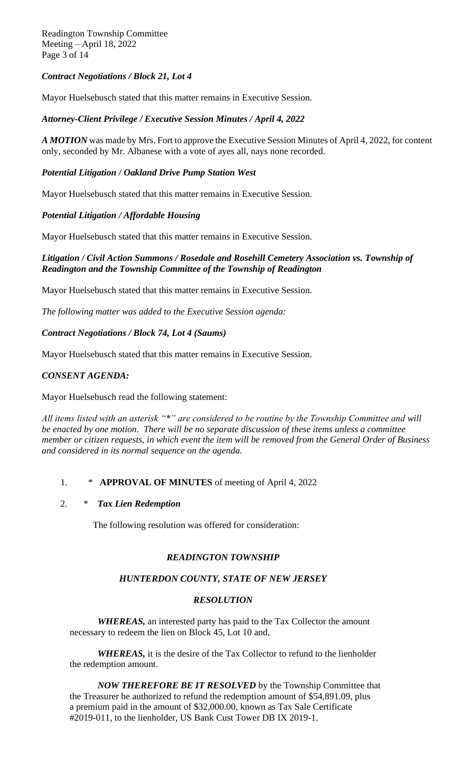Readington Township Committee Meeting – April 18, 2022 Page 3 of 14

# *Contract Negotiations / Block 21, Lot 4*

Mayor Huelsebusch stated that this matter remains in Executive Session.

#### *Attorney-Client Privilege / Executive Session Minutes / April 4, 2022*

*A MOTION* was made by Mrs. Fort to approve the Executive Session Minutes of April 4, 2022, for content only, seconded by Mr. Albanese with a vote of ayes all, nays none recorded.

## *Potential Litigation / Oakland Drive Pump Station West*

Mayor Huelsebusch stated that this matter remains in Executive Session.

## *Potential Litigation / Affordable Housing*

Mayor Huelsebusch stated that this matter remains in Executive Session.

## *Litigation / Civil Action Summons / Rosedale and Rosehill Cemetery Association vs. Township of Readington and the Township Committee of the Township of Readington*

Mayor Huelsebusch stated that this matter remains in Executive Session.

*The following matter was added to the Executive Session agenda:*

#### *Contract Negotiations / Block 74, Lot 4 (Saums)*

Mayor Huelsebusch stated that this matter remains in Executive Session.

## *CONSENT AGENDA:*

Mayor Huelsebusch read the following statement:

*All items listed with an asterisk "\*" are considered to be routine by the Township Committee and will be enacted by one motion. There will be no separate discussion of these items unless a committee member or citizen requests, in which event the item will be removed from the General Order of Business and considered in its normal sequence on the agenda.*

## 1. \* **APPROVAL OF MINUTES** of meeting of April 4, 2022

#### 2. \* *Tax Lien Redemption*

The following resolution was offered for consideration:

## *READINGTON TOWNSHIP*

## *HUNTERDON COUNTY, STATE OF NEW JERSEY*

#### *RESOLUTION*

*WHEREAS,* an interested party has paid to the Tax Collector the amount necessary to redeem the lien on Block 45, Lot 10 and,

*WHEREAS,* it is the desire of the Tax Collector to refund to the lienholder the redemption amount.

*NOW THEREFORE BE IT RESOLVED* by the Township Committee that the Treasurer be authorized to refund the redemption amount of \$54,891.09, plus a premium paid in the amount of \$32,000.00, known as Tax Sale Certificate #2019-011, to the lienholder, US Bank Cust Tower DB IX 2019-1.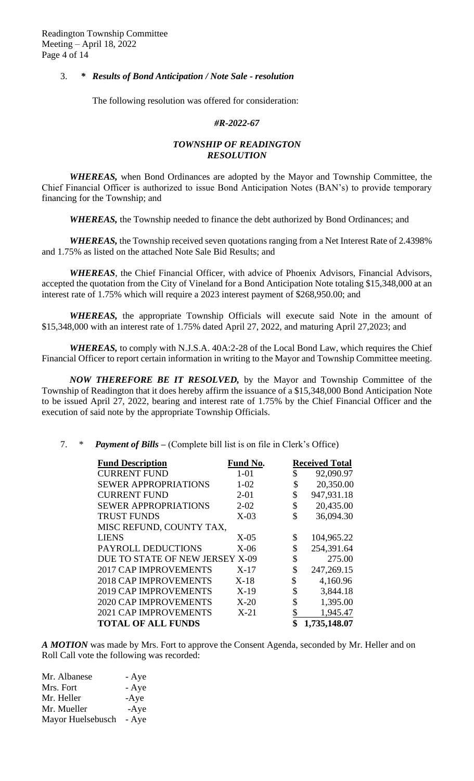## 3. *\* Results of Bond Anticipation / Note Sale - resolution*

The following resolution was offered for consideration:

#### *#R-2022-67*

# *TOWNSHIP OF READINGTON RESOLUTION*

*WHEREAS,* when Bond Ordinances are adopted by the Mayor and Township Committee, the Chief Financial Officer is authorized to issue Bond Anticipation Notes (BAN's) to provide temporary financing for the Township; and

*WHEREAS,* the Township needed to finance the debt authorized by Bond Ordinances; and

*WHEREAS,* the Township received seven quotations ranging from a Net Interest Rate of 2.4398% and 1.75% as listed on the attached Note Sale Bid Results; and

*WHEREAS*, the Chief Financial Officer, with advice of Phoenix Advisors, Financial Advisors, accepted the quotation from the City of Vineland for a Bond Anticipation Note totaling \$15,348,000 at an interest rate of 1.75% which will require a 2023 interest payment of \$268,950.00; and

*WHEREAS,* the appropriate Township Officials will execute said Note in the amount of \$15,348,000 with an interest rate of 1.75% dated April 27, 2022, and maturing April 27,2023; and

*WHEREAS,* to comply with N.J.S.A. 40A:2-28 of the Local Bond Law, which requires the Chief Financial Officer to report certain information in writing to the Mayor and Township Committee meeting.

*NOW THEREFORE BE IT RESOLVED,* by the Mayor and Township Committee of the Township of Readington that it does hereby affirm the issuance of a \$15,348,000 Bond Anticipation Note to be issued April 27, 2022, bearing and interest rate of 1.75% by the Chief Financial Officer and the execution of said note by the appropriate Township Officials.

## 7. \* *Payment of Bills –* (Complete bill list is on file in Clerk's Office)

| <b>Fund Description</b>         | Fund No. | <b>Received Total</b> |
|---------------------------------|----------|-----------------------|
| <b>CURRENT FUND</b>             | $1 - 01$ | \$<br>92,090.97       |
| <b>SEWER APPROPRIATIONS</b>     | $1 - 02$ | \$<br>20,350.00       |
| <b>CURRENT FUND</b>             | $2 - 01$ | \$<br>947,931.18      |
| <b>SEWER APPROPRIATIONS</b>     | $2 - 02$ | \$<br>20,435.00       |
| <b>TRUST FUNDS</b>              | $X-03$   | \$<br>36,094.30       |
| MISC REFUND, COUNTY TAX,        |          |                       |
| <b>LIENS</b>                    | $X-05$   | \$<br>104,965.22      |
| PAYROLL DEDUCTIONS              | $X-06$   | \$<br>254,391.64      |
| DUE TO STATE OF NEW JERSEY X-09 |          | \$<br>275.00          |
| <b>2017 CAP IMPROVEMENTS</b>    | $X-17$   | \$<br>247,269.15      |
| <b>2018 CAP IMPROVEMENTS</b>    | $X-18$   | \$<br>4,160.96        |
| <b>2019 CAP IMPROVEMENTS</b>    | $X-19$   | \$<br>3,844.18        |
| <b>2020 CAP IMPROVEMENTS</b>    | $X-20$   | \$<br>1,395.00        |
| <b>2021 CAP IMPROVEMENTS</b>    | $X-21$   | \$<br>1,945.47        |
| <b>TOTAL OF ALL FUNDS</b>       |          | \$<br>1,735,148.07    |

*A MOTION* was made by Mrs. Fort to approve the Consent Agenda, seconded by Mr. Heller and on Roll Call vote the following was recorded:

| Mr. Albanese      | - Aye  |
|-------------------|--------|
| Mrs. Fort         | - Aye  |
| Mr. Heller        | $-Aye$ |
| Mr. Mueller       | $-Aye$ |
| Mayor Huelsebusch | - Aye  |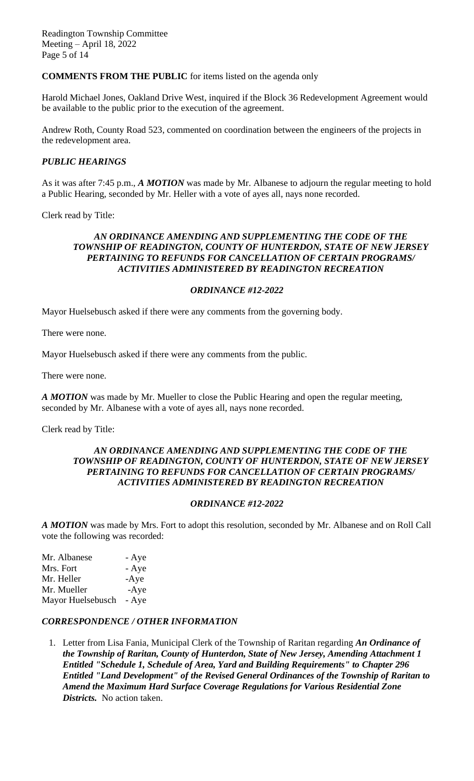# **COMMENTS FROM THE PUBLIC** for items listed on the agenda only

Harold Michael Jones, Oakland Drive West, inquired if the Block 36 Redevelopment Agreement would be available to the public prior to the execution of the agreement.

Andrew Roth, County Road 523, commented on coordination between the engineers of the projects in the redevelopment area.

## *PUBLIC HEARINGS*

As it was after 7:45 p.m., *A MOTION* was made by Mr. Albanese to adjourn the regular meeting to hold a Public Hearing, seconded by Mr. Heller with a vote of ayes all, nays none recorded.

Clerk read by Title:

## *AN ORDINANCE AMENDING AND SUPPLEMENTING THE CODE OF THE TOWNSHIP OF READINGTON, COUNTY OF HUNTERDON, STATE OF NEW JERSEY PERTAINING TO REFUNDS FOR CANCELLATION OF CERTAIN PROGRAMS/ ACTIVITIES ADMINISTERED BY READINGTON RECREATION*

## *ORDINANCE #12-2022*

Mayor Huelsebusch asked if there were any comments from the governing body.

There were none.

Mayor Huelsebusch asked if there were any comments from the public.

There were none.

*A MOTION* was made by Mr. Mueller to close the Public Hearing and open the regular meeting, seconded by Mr. Albanese with a vote of ayes all, nays none recorded.

Clerk read by Title:

#### *AN ORDINANCE AMENDING AND SUPPLEMENTING THE CODE OF THE TOWNSHIP OF READINGTON, COUNTY OF HUNTERDON, STATE OF NEW JERSEY PERTAINING TO REFUNDS FOR CANCELLATION OF CERTAIN PROGRAMS/ ACTIVITIES ADMINISTERED BY READINGTON RECREATION*

## *ORDINANCE #12-2022*

*A MOTION* was made by Mrs. Fort to adopt this resolution, seconded by Mr. Albanese and on Roll Call vote the following was recorded:

| Mr. Albanese      | - Aye  |
|-------------------|--------|
| Mrs. Fort         | - Aye  |
| Mr. Heller        | $-Aye$ |
| Mr. Mueller       | $-Aye$ |
| Mayor Huelsebusch | - Aye  |

## *CORRESPONDENCE / OTHER INFORMATION*

1. Letter from Lisa Fania, Municipal Clerk of the Township of Raritan regarding *An Ordinance of the Township of Raritan, County of Hunterdon, State of New Jersey, Amending Attachment 1 Entitled "Schedule 1, Schedule of Area, Yard and Building Requirements" to Chapter 296 Entitled "Land Development" of the Revised General Ordinances of the Township of Raritan to Amend the Maximum Hard Surface Coverage Regulations for Various Residential Zone Districts.* No action taken.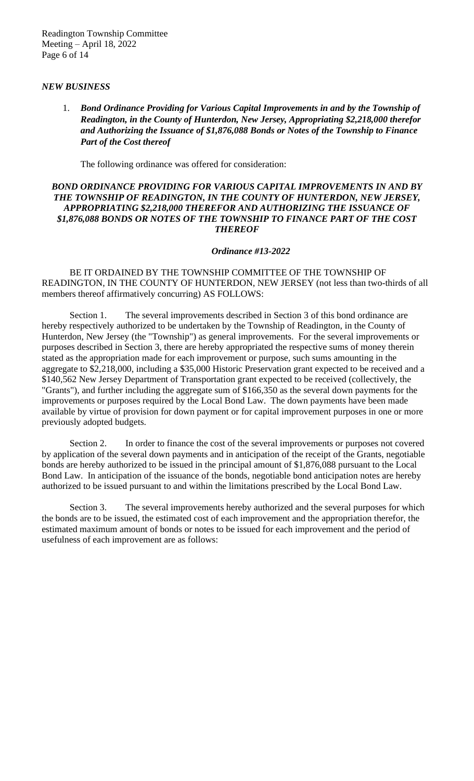## *NEW BUSINESS*

1. *Bond Ordinance Providing for Various Capital Improvements in and by the Township of Readington, in the County of Hunterdon, New Jersey, Appropriating \$2,218,000 therefor and Authorizing the Issuance of \$1,876,088 Bonds or Notes of the Township to Finance Part of the Cost thereof*

The following ordinance was offered for consideration:

## *BOND ORDINANCE PROVIDING FOR VARIOUS CAPITAL IMPROVEMENTS IN AND BY THE TOWNSHIP OF READINGTON, IN THE COUNTY OF HUNTERDON, NEW JERSEY, APPROPRIATING \$2,218,000 THEREFOR AND AUTHORIZING THE ISSUANCE OF \$1,876,088 BONDS OR NOTES OF THE TOWNSHIP TO FINANCE PART OF THE COST THEREOF*

## *Ordinance #13-2022*

BE IT ORDAINED BY THE TOWNSHIP COMMITTEE OF THE TOWNSHIP OF READINGTON, IN THE COUNTY OF HUNTERDON, NEW JERSEY (not less than two-thirds of all members thereof affirmatively concurring) AS FOLLOWS:

Section 1. The several improvements described in Section 3 of this bond ordinance are hereby respectively authorized to be undertaken by the Township of Readington, in the County of Hunterdon, New Jersey (the "Township") as general improvements. For the several improvements or purposes described in Section 3, there are hereby appropriated the respective sums of money therein stated as the appropriation made for each improvement or purpose, such sums amounting in the aggregate to \$2,218,000, including a \$35,000 Historic Preservation grant expected to be received and a \$140,562 New Jersey Department of Transportation grant expected to be received (collectively, the "Grants"), and further including the aggregate sum of \$166,350 as the several down payments for the improvements or purposes required by the Local Bond Law. The down payments have been made available by virtue of provision for down payment or for capital improvement purposes in one or more previously adopted budgets.

Section 2. In order to finance the cost of the several improvements or purposes not covered by application of the several down payments and in anticipation of the receipt of the Grants, negotiable bonds are hereby authorized to be issued in the principal amount of \$1,876,088 pursuant to the Local Bond Law. In anticipation of the issuance of the bonds, negotiable bond anticipation notes are hereby authorized to be issued pursuant to and within the limitations prescribed by the Local Bond Law.

Section 3. The several improvements hereby authorized and the several purposes for which the bonds are to be issued, the estimated cost of each improvement and the appropriation therefor, the estimated maximum amount of bonds or notes to be issued for each improvement and the period of usefulness of each improvement are as follows: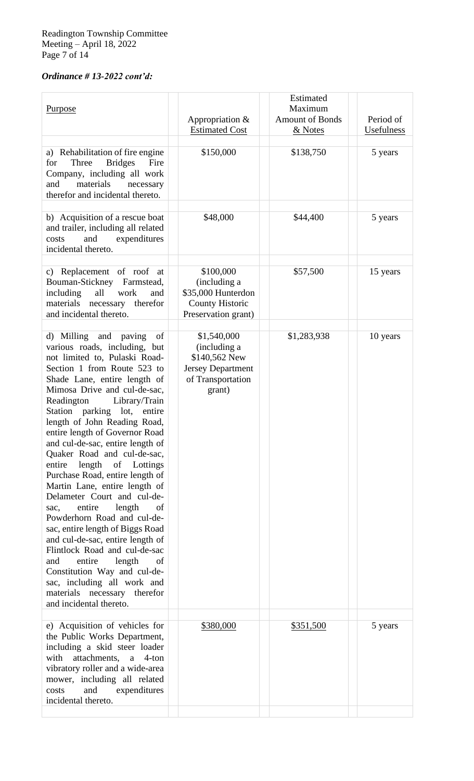# *Ordinance # 13-2022 cont'd:*

| <b>Purpose</b>                                                                                                                                                                                                                                                                                                                                                                                                                                                                                                                                                                                                                                                                                                                                                                                                                                                             | Appropriation &<br><b>Estimated Cost</b>                                                                | Estimated<br>Maximum<br><b>Amount of Bonds</b><br>& Notes | Period of<br>Usefulness |
|----------------------------------------------------------------------------------------------------------------------------------------------------------------------------------------------------------------------------------------------------------------------------------------------------------------------------------------------------------------------------------------------------------------------------------------------------------------------------------------------------------------------------------------------------------------------------------------------------------------------------------------------------------------------------------------------------------------------------------------------------------------------------------------------------------------------------------------------------------------------------|---------------------------------------------------------------------------------------------------------|-----------------------------------------------------------|-------------------------|
| a) Rehabilitation of fire engine<br><b>Bridges</b><br>Three<br>Fire<br>for<br>Company, including all work<br>materials<br>and<br>necessary<br>therefor and incidental thereto.                                                                                                                                                                                                                                                                                                                                                                                                                                                                                                                                                                                                                                                                                             | \$150,000                                                                                               | \$138,750                                                 | 5 years                 |
| b) Acquisition of a rescue boat<br>and trailer, including all related<br>and<br>expenditures<br>costs<br>incidental thereto.                                                                                                                                                                                                                                                                                                                                                                                                                                                                                                                                                                                                                                                                                                                                               | \$48,000                                                                                                | \$44,400                                                  | 5 years                 |
| c) Replacement of roof at<br>Bouman-Stickney<br>Farmstead,<br>including<br>all<br>work<br>and<br>materials<br>necessary therefor<br>and incidental thereto.                                                                                                                                                                                                                                                                                                                                                                                                                                                                                                                                                                                                                                                                                                                | \$100,000<br>(including a<br>\$35,000 Hunterdon<br><b>County Historic</b><br>Preservation grant)        | \$57,500                                                  | 15 years                |
| d) Milling and paving<br>of<br>various roads, including, but<br>not limited to, Pulaski Road-<br>Section 1 from Route 523 to<br>Shade Lane, entire length of<br>Mimosa Drive and cul-de-sac,<br>Readington<br>Library/Train<br>Station parking lot, entire<br>length of John Reading Road,<br>entire length of Governor Road<br>and cul-de-sac, entire length of<br>Quaker Road and cul-de-sac,<br>length<br>entire<br>of Lottings<br>Purchase Road, entire length of<br>Martin Lane, entire length of<br>Delameter Court and cul-de-<br>entire<br>length<br>of<br>sac,<br>Powderhorn Road and cul-de-<br>sac, entire length of Biggs Road<br>and cul-de-sac, entire length of<br>Flintlock Road and cul-de-sac<br>entire<br>and<br>length<br>of<br>Constitution Way and cul-de-<br>sac, including all work and<br>materials necessary therefor<br>and incidental thereto. | \$1,540,000<br>(including a<br>\$140,562 New<br><b>Jersey Department</b><br>of Transportation<br>grant) | \$1,283,938                                               | 10 years                |
| e) Acquisition of vehicles for<br>the Public Works Department,<br>including a skid steer loader<br>attachments,<br>with<br>$a \quad 4$ -ton<br>vibratory roller and a wide-area<br>mower, including all related<br>and<br>expenditures<br>costs<br>incidental thereto.                                                                                                                                                                                                                                                                                                                                                                                                                                                                                                                                                                                                     | \$380,000                                                                                               | \$351,500                                                 | 5 years                 |
|                                                                                                                                                                                                                                                                                                                                                                                                                                                                                                                                                                                                                                                                                                                                                                                                                                                                            |                                                                                                         |                                                           |                         |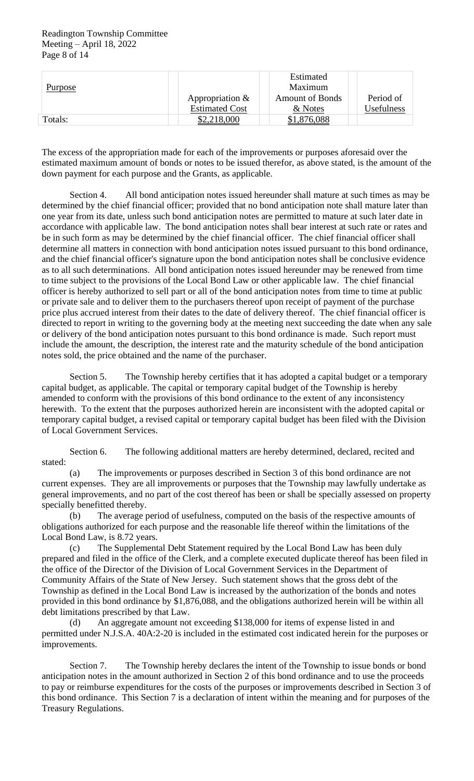#### Readington Township Committee Meeting – April 18, 2022 Page 8 of 14

| Purpose |                       | Estimated<br>Maximum   |            |
|---------|-----------------------|------------------------|------------|
|         | Appropriation $&$     | <b>Amount of Bonds</b> | Period of  |
|         | <b>Estimated Cost</b> | & Notes                | Usefulness |
| Totals: | \$2,218,000           | \$1,876,088            |            |

The excess of the appropriation made for each of the improvements or purposes aforesaid over the estimated maximum amount of bonds or notes to be issued therefor, as above stated, is the amount of the down payment for each purpose and the Grants, as applicable.

Section 4. All bond anticipation notes issued hereunder shall mature at such times as may be determined by the chief financial officer; provided that no bond anticipation note shall mature later than one year from its date, unless such bond anticipation notes are permitted to mature at such later date in accordance with applicable law. The bond anticipation notes shall bear interest at such rate or rates and be in such form as may be determined by the chief financial officer. The chief financial officer shall determine all matters in connection with bond anticipation notes issued pursuant to this bond ordinance, and the chief financial officer's signature upon the bond anticipation notes shall be conclusive evidence as to all such determinations. All bond anticipation notes issued hereunder may be renewed from time to time subject to the provisions of the Local Bond Law or other applicable law. The chief financial officer is hereby authorized to sell part or all of the bond anticipation notes from time to time at public or private sale and to deliver them to the purchasers thereof upon receipt of payment of the purchase price plus accrued interest from their dates to the date of delivery thereof. The chief financial officer is directed to report in writing to the governing body at the meeting next succeeding the date when any sale or delivery of the bond anticipation notes pursuant to this bond ordinance is made. Such report must include the amount, the description, the interest rate and the maturity schedule of the bond anticipation notes sold, the price obtained and the name of the purchaser.

Section 5. The Township hereby certifies that it has adopted a capital budget or a temporary capital budget, as applicable. The capital or temporary capital budget of the Township is hereby amended to conform with the provisions of this bond ordinance to the extent of any inconsistency herewith. To the extent that the purposes authorized herein are inconsistent with the adopted capital or temporary capital budget, a revised capital or temporary capital budget has been filed with the Division of Local Government Services.

Section 6. The following additional matters are hereby determined, declared, recited and stated:

(a) The improvements or purposes described in Section 3 of this bond ordinance are not current expenses. They are all improvements or purposes that the Township may lawfully undertake as general improvements, and no part of the cost thereof has been or shall be specially assessed on property specially benefitted thereby.

(b) The average period of usefulness, computed on the basis of the respective amounts of obligations authorized for each purpose and the reasonable life thereof within the limitations of the Local Bond Law, is 8.72 years.

(c) The Supplemental Debt Statement required by the Local Bond Law has been duly prepared and filed in the office of the Clerk, and a complete executed duplicate thereof has been filed in the office of the Director of the Division of Local Government Services in the Department of Community Affairs of the State of New Jersey. Such statement shows that the gross debt of the Township as defined in the Local Bond Law is increased by the authorization of the bonds and notes provided in this bond ordinance by \$1,876,088, and the obligations authorized herein will be within all debt limitations prescribed by that Law.

(d) An aggregate amount not exceeding \$138,000 for items of expense listed in and permitted under N.J.S.A. 40A:2-20 is included in the estimated cost indicated herein for the purposes or improvements.

Section 7. The Township hereby declares the intent of the Township to issue bonds or bond anticipation notes in the amount authorized in Section 2 of this bond ordinance and to use the proceeds to pay or reimburse expenditures for the costs of the purposes or improvements described in Section 3 of this bond ordinance. This Section 7 is a declaration of intent within the meaning and for purposes of the Treasury Regulations.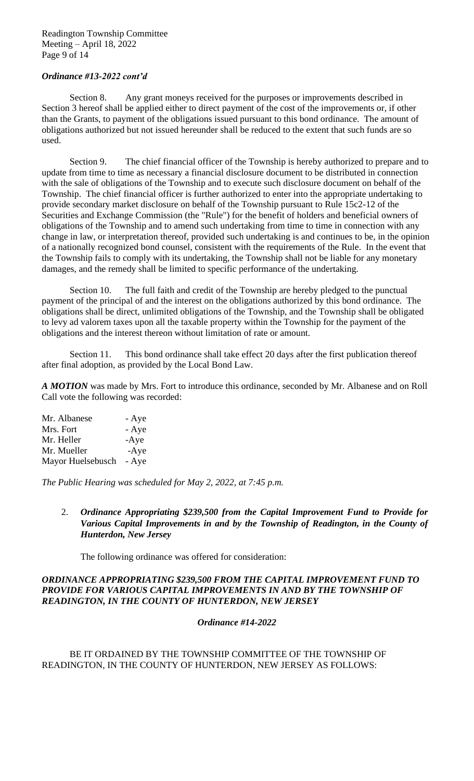#### Readington Township Committee Meeting – April 18, 2022 Page 9 of 14

## *Ordinance #13-2022 cont'd*

Section 8. Any grant moneys received for the purposes or improvements described in Section 3 hereof shall be applied either to direct payment of the cost of the improvements or, if other than the Grants, to payment of the obligations issued pursuant to this bond ordinance. The amount of obligations authorized but not issued hereunder shall be reduced to the extent that such funds are so used.

Section 9. The chief financial officer of the Township is hereby authorized to prepare and to update from time to time as necessary a financial disclosure document to be distributed in connection with the sale of obligations of the Township and to execute such disclosure document on behalf of the Township. The chief financial officer is further authorized to enter into the appropriate undertaking to provide secondary market disclosure on behalf of the Township pursuant to Rule 15c2-12 of the Securities and Exchange Commission (the "Rule") for the benefit of holders and beneficial owners of obligations of the Township and to amend such undertaking from time to time in connection with any change in law, or interpretation thereof, provided such undertaking is and continues to be, in the opinion of a nationally recognized bond counsel, consistent with the requirements of the Rule. In the event that the Township fails to comply with its undertaking, the Township shall not be liable for any monetary damages, and the remedy shall be limited to specific performance of the undertaking.

Section 10. The full faith and credit of the Township are hereby pledged to the punctual payment of the principal of and the interest on the obligations authorized by this bond ordinance. The obligations shall be direct, unlimited obligations of the Township, and the Township shall be obligated to levy ad valorem taxes upon all the taxable property within the Township for the payment of the obligations and the interest thereon without limitation of rate or amount.

Section 11. This bond ordinance shall take effect 20 days after the first publication thereof after final adoption, as provided by the Local Bond Law.

*A MOTION* was made by Mrs. Fort to introduce this ordinance, seconded by Mr. Albanese and on Roll Call vote the following was recorded:

| Mr. Albanese      | - Aye  |
|-------------------|--------|
| Mrs. Fort         | - Aye  |
| Mr. Heller        | $-Aye$ |
| Mr. Mueller       | $-Aye$ |
| Mayor Huelsebusch | - Aye  |

*The Public Hearing was scheduled for May 2, 2022, at 7:45 p.m.*

2. *Ordinance Appropriating \$239,500 from the Capital Improvement Fund to Provide for*  Various Capital Improvements in and by the Township of Readington, in the County of *Hunterdon, New Jersey*

The following ordinance was offered for consideration:

## *ORDINANCE APPROPRIATING \$239,500 FROM THE CAPITAL IMPROVEMENT FUND TO PROVIDE FOR VARIOUS CAPITAL IMPROVEMENTS IN AND BY THE TOWNSHIP OF READINGTON, IN THE COUNTY OF HUNTERDON, NEW JERSEY*

## *Ordinance #14-2022*

BE IT ORDAINED BY THE TOWNSHIP COMMITTEE OF THE TOWNSHIP OF READINGTON, IN THE COUNTY OF HUNTERDON, NEW JERSEY AS FOLLOWS: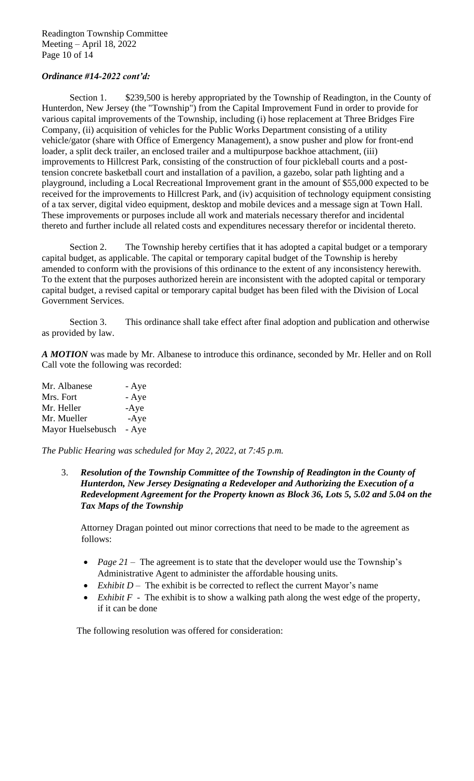#### Readington Township Committee Meeting – April 18, 2022 Page 10 of 14

# *Ordinance #14-2022 cont'd:*

Section 1. \$239,500 is hereby appropriated by the Township of Readington, in the County of Hunterdon, New Jersey (the "Township") from the Capital Improvement Fund in order to provide for various capital improvements of the Township, including (i) hose replacement at Three Bridges Fire Company, (ii) acquisition of vehicles for the Public Works Department consisting of a utility vehicle/gator (share with Office of Emergency Management), a snow pusher and plow for front-end loader, a split deck trailer, an enclosed trailer and a multipurpose backhoe attachment, (iii) improvements to Hillcrest Park, consisting of the construction of four pickleball courts and a posttension concrete basketball court and installation of a pavilion, a gazebo, solar path lighting and a playground, including a Local Recreational Improvement grant in the amount of \$55,000 expected to be received for the improvements to Hillcrest Park, and (iv) acquisition of technology equipment consisting of a tax server, digital video equipment, desktop and mobile devices and a message sign at Town Hall. These improvements or purposes include all work and materials necessary therefor and incidental thereto and further include all related costs and expenditures necessary therefor or incidental thereto.

Section 2. The Township hereby certifies that it has adopted a capital budget or a temporary capital budget, as applicable. The capital or temporary capital budget of the Township is hereby amended to conform with the provisions of this ordinance to the extent of any inconsistency herewith. To the extent that the purposes authorized herein are inconsistent with the adopted capital or temporary capital budget, a revised capital or temporary capital budget has been filed with the Division of Local Government Services.

Section 3. This ordinance shall take effect after final adoption and publication and otherwise as provided by law.

*A MOTION* was made by Mr. Albanese to introduce this ordinance, seconded by Mr. Heller and on Roll Call vote the following was recorded:

| Mr. Albanese      | - Aye  |
|-------------------|--------|
| Mrs. Fort         | - Aye  |
| Mr. Heller        | $-Aye$ |
| Mr. Mueller       | $-Aye$ |
| Mayor Huelsebusch | - Aye  |

*The Public Hearing was scheduled for May 2, 2022, at 7:45 p.m.*

3. *Resolution of the Township Committee of the Township of Readington in the County of Hunterdon, New Jersey Designating a Redeveloper and Authorizing the Execution of a Redevelopment Agreement for the Property known as Block 36, Lots 5, 5.02 and 5.04 on the Tax Maps of the Township*

Attorney Dragan pointed out minor corrections that need to be made to the agreement as follows:

- *Page 21* The agreement is to state that the developer would use the Township's Administrative Agent to administer the affordable housing units.
- *Exhibit D* The exhibit is be corrected to reflect the current Mayor's name
- *Exhibit F* The exhibit is to show a walking path along the west edge of the property, if it can be done

The following resolution was offered for consideration: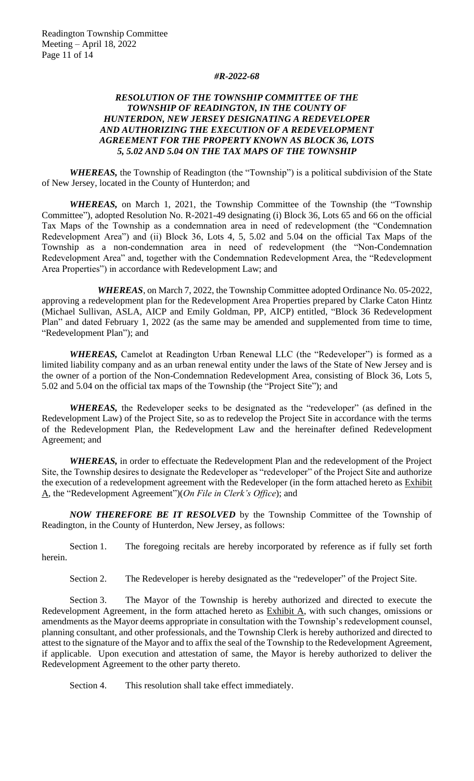#### *#R-2022-68*

## *RESOLUTION OF THE TOWNSHIP COMMITTEE OF THE TOWNSHIP OF READINGTON, IN THE COUNTY OF HUNTERDON, NEW JERSEY DESIGNATING A REDEVELOPER AND AUTHORIZING THE EXECUTION OF A REDEVELOPMENT AGREEMENT FOR THE PROPERTY KNOWN AS BLOCK 36, LOTS 5, 5.02 AND 5.04 ON THE TAX MAPS OF THE TOWNSHIP*

*WHEREAS,* the Township of Readington (the "Township") is a political subdivision of the State of New Jersey, located in the County of Hunterdon; and

*WHEREAS,* on March 1, 2021, the Township Committee of the Township (the "Township Committee"), adopted Resolution No. R-2021-49 designating (i) Block 36, Lots 65 and 66 on the official Tax Maps of the Township as a condemnation area in need of redevelopment (the "Condemnation Redevelopment Area") and (ii) Block 36, Lots 4, 5, 5.02 and 5.04 on the official Tax Maps of the Township as a non-condemnation area in need of redevelopment (the "Non-Condemnation Redevelopment Area" and, together with the Condemnation Redevelopment Area, the "Redevelopment Area Properties") in accordance with Redevelopment Law; and

*WHEREAS*, on March 7, 2022, the Township Committee adopted Ordinance No. 05-2022, approving a redevelopment plan for the Redevelopment Area Properties prepared by Clarke Caton Hintz (Michael Sullivan, ASLA, AICP and Emily Goldman, PP, AICP) entitled, "Block 36 Redevelopment Plan" and dated February 1, 2022 (as the same may be amended and supplemented from time to time, "Redevelopment Plan"); and

*WHEREAS,* Camelot at Readington Urban Renewal LLC (the "Redeveloper") is formed as a limited liability company and as an urban renewal entity under the laws of the State of New Jersey and is the owner of a portion of the Non-Condemnation Redevelopment Area, consisting of Block 36, Lots 5, 5.02 and 5.04 on the official tax maps of the Township (the "Project Site"); and

*WHEREAS,* the Redeveloper seeks to be designated as the "redeveloper" (as defined in the Redevelopment Law) of the Project Site, so as to redevelop the Project Site in accordance with the terms of the Redevelopment Plan, the Redevelopment Law and the hereinafter defined Redevelopment Agreement; and

*WHEREAS,* in order to effectuate the Redevelopment Plan and the redevelopment of the Project Site, the Township desires to designate the Redeveloper as "redeveloper" of the Project Site and authorize the execution of a redevelopment agreement with the Redeveloper (in the form attached hereto as Exhibit A, the "Redevelopment Agreement")(*On File in Clerk's Office*); and

*NOW THEREFORE BE IT RESOLVED* by the Township Committee of the Township of Readington, in the County of Hunterdon, New Jersey, as follows:

Section 1. The foregoing recitals are hereby incorporated by reference as if fully set forth herein.

Section 2. The Redeveloper is hereby designated as the "redeveloper" of the Project Site.

Section 3. The Mayor of the Township is hereby authorized and directed to execute the Redevelopment Agreement, in the form attached hereto as **Exhibit A**, with such changes, omissions or amendments as the Mayor deems appropriate in consultation with the Township's redevelopment counsel, planning consultant, and other professionals, and the Township Clerk is hereby authorized and directed to attest to the signature of the Mayor and to affix the seal of the Township to the Redevelopment Agreement, if applicable. Upon execution and attestation of same, the Mayor is hereby authorized to deliver the Redevelopment Agreement to the other party thereto.

Section 4. This resolution shall take effect immediately.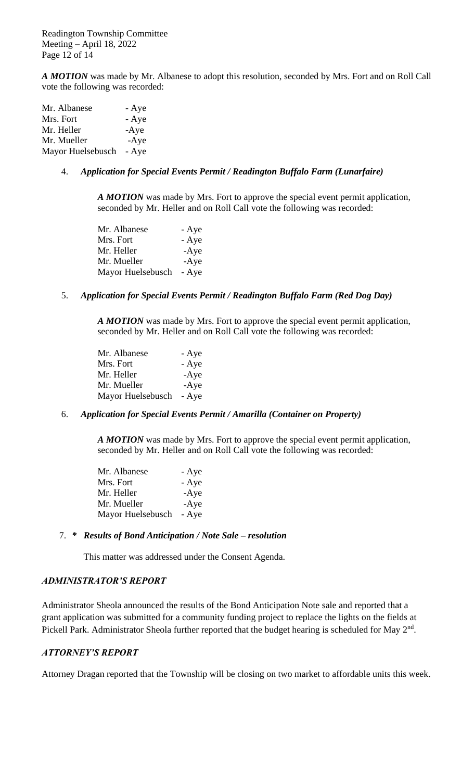Readington Township Committee Meeting – April 18, 2022 Page 12 of 14

*A MOTION* was made by Mr. Albanese to adopt this resolution, seconded by Mrs. Fort and on Roll Call vote the following was recorded:

| Mr. Albanese      | - Aye  |
|-------------------|--------|
| Mrs. Fort         | - Aye  |
| Mr. Heller        | $-Aye$ |
| Mr. Mueller       | $-Aye$ |
| Mayor Huelsebusch | - Aye  |

## 4. *Application for Special Events Permit / Readington Buffalo Farm (Lunarfaire)*

*A MOTION* was made by Mrs. Fort to approve the special event permit application, seconded by Mr. Heller and on Roll Call vote the following was recorded:

| Mr. Albanese      | - Aye  |
|-------------------|--------|
| Mrs. Fort         | - Aye  |
| Mr. Heller        | $-Aye$ |
| Mr. Mueller       | $-Aye$ |
| Mayor Huelsebusch | - Aye  |

#### 5. *Application for Special Events Permit / Readington Buffalo Farm (Red Dog Day)*

*A MOTION* was made by Mrs. Fort to approve the special event permit application, seconded by Mr. Heller and on Roll Call vote the following was recorded:

| Mr. Albanese      | - Aye  |
|-------------------|--------|
| Mrs. Fort         | - Aye  |
| Mr. Heller        | $-Aye$ |
| Mr. Mueller       | $-Aye$ |
| Mayor Huelsebusch | - Aye  |

#### 6. *Application for Special Events Permit / Amarilla (Container on Property)*

*A MOTION* was made by Mrs. Fort to approve the special event permit application, seconded by Mr. Heller and on Roll Call vote the following was recorded:

| Mr. Albanese      | - Aye  |
|-------------------|--------|
| Mrs. Fort         | - Aye  |
| Mr. Heller        | $-Aye$ |
| Mr. Mueller       | $-Aye$ |
| Mayor Huelsebusch | - Aye  |

#### 7. *\* Results of Bond Anticipation / Note Sale – resolution*

This matter was addressed under the Consent Agenda.

#### *ADMINISTRATOR'S REPORT*

Administrator Sheola announced the results of the Bond Anticipation Note sale and reported that a grant application was submitted for a community funding project to replace the lights on the fields at Pickell Park. Administrator Sheola further reported that the budget hearing is scheduled for May 2<sup>nd</sup>.

#### *ATTORNEY'S REPORT*

Attorney Dragan reported that the Township will be closing on two market to affordable units this week.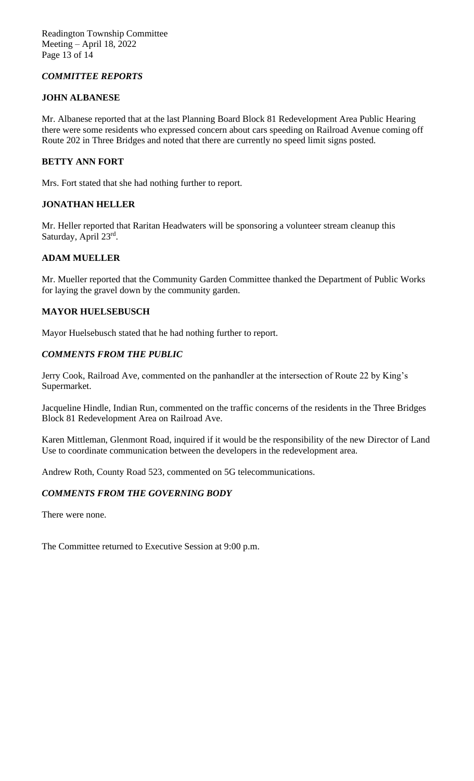# *COMMITTEE REPORTS*

# **JOHN ALBANESE**

Mr. Albanese reported that at the last Planning Board Block 81 Redevelopment Area Public Hearing there were some residents who expressed concern about cars speeding on Railroad Avenue coming off Route 202 in Three Bridges and noted that there are currently no speed limit signs posted.

# **BETTY ANN FORT**

Mrs. Fort stated that she had nothing further to report.

# **JONATHAN HELLER**

Mr. Heller reported that Raritan Headwaters will be sponsoring a volunteer stream cleanup this Saturday, April 23rd.

# **ADAM MUELLER**

Mr. Mueller reported that the Community Garden Committee thanked the Department of Public Works for laying the gravel down by the community garden.

## **MAYOR HUELSEBUSCH**

Mayor Huelsebusch stated that he had nothing further to report.

# *COMMENTS FROM THE PUBLIC*

Jerry Cook, Railroad Ave, commented on the panhandler at the intersection of Route 22 by King's Supermarket.

Jacqueline Hindle, Indian Run, commented on the traffic concerns of the residents in the Three Bridges Block 81 Redevelopment Area on Railroad Ave.

Karen Mittleman, Glenmont Road, inquired if it would be the responsibility of the new Director of Land Use to coordinate communication between the developers in the redevelopment area.

Andrew Roth, County Road 523, commented on 5G telecommunications.

# *COMMENTS FROM THE GOVERNING BODY*

There were none.

The Committee returned to Executive Session at 9:00 p.m.